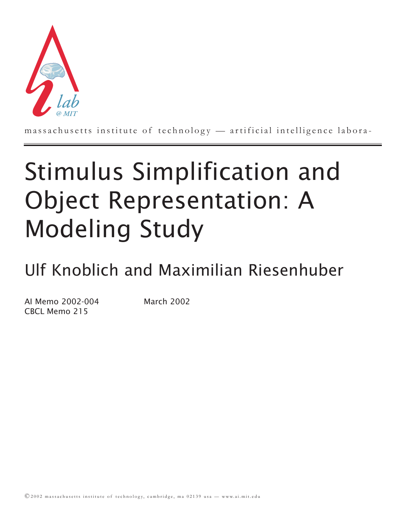

massachusetts institute of technology — artificial intelligence labora-

# Stimulus Simplification and Object Representation: A Modeling Study

Ulf Knoblich and Maximilian Riesenhuber

AI Memo 2002-004 March 2002 CBCL Memo 215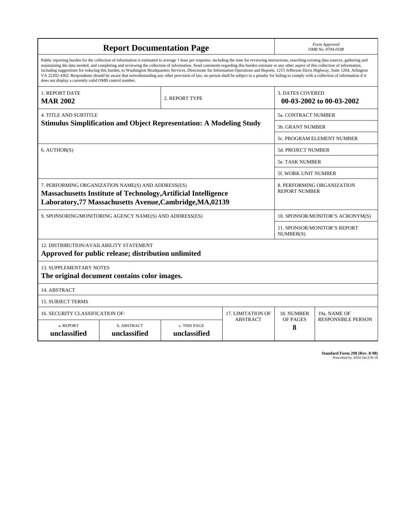| <b>Report Documentation Page</b>                                                                                                                                                                                                                                                                                                                                                                                                                                                                                                                                                                                                                                                                                                                                                                                                                                   |                             |                              |                 |                                                     | Form Approved<br>OMB No. 0704-0188                 |  |  |
|--------------------------------------------------------------------------------------------------------------------------------------------------------------------------------------------------------------------------------------------------------------------------------------------------------------------------------------------------------------------------------------------------------------------------------------------------------------------------------------------------------------------------------------------------------------------------------------------------------------------------------------------------------------------------------------------------------------------------------------------------------------------------------------------------------------------------------------------------------------------|-----------------------------|------------------------------|-----------------|-----------------------------------------------------|----------------------------------------------------|--|--|
| Public reporting burden for the collection of information is estimated to average 1 hour per response, including the time for reviewing instructions, searching existing data sources, gathering and<br>maintaining the data needed, and completing and reviewing the collection of information. Send comments regarding this burden estimate or any other aspect of this collection of information,<br>including suggestions for reducing this burden, to Washington Headquarters Services, Directorate for Information Operations and Reports, 1215 Jefferson Davis Highway, Suite 1204, Arlington<br>VA 22202-4302. Respondents should be aware that notwithstanding any other provision of law, no person shall be subject to a penalty for failing to comply with a collection of information if it<br>does not display a currently valid OMB control number. |                             |                              |                 |                                                     |                                                    |  |  |
| <b>1. REPORT DATE</b><br><b>MAR 2002</b>                                                                                                                                                                                                                                                                                                                                                                                                                                                                                                                                                                                                                                                                                                                                                                                                                           |                             | 2. REPORT TYPE               |                 | <b>3. DATES COVERED</b><br>00-03-2002 to 00-03-2002 |                                                    |  |  |
| <b>4. TITLE AND SUBTITLE</b>                                                                                                                                                                                                                                                                                                                                                                                                                                                                                                                                                                                                                                                                                                                                                                                                                                       |                             |                              |                 |                                                     | 5a. CONTRACT NUMBER                                |  |  |
| <b>Stimulus Simplification and Object Representation: A Modeling Study</b>                                                                                                                                                                                                                                                                                                                                                                                                                                                                                                                                                                                                                                                                                                                                                                                         |                             |                              |                 |                                                     | 5b. GRANT NUMBER                                   |  |  |
|                                                                                                                                                                                                                                                                                                                                                                                                                                                                                                                                                                                                                                                                                                                                                                                                                                                                    |                             |                              |                 |                                                     | 5c. PROGRAM ELEMENT NUMBER                         |  |  |
| 6. AUTHOR(S)                                                                                                                                                                                                                                                                                                                                                                                                                                                                                                                                                                                                                                                                                                                                                                                                                                                       |                             |                              |                 |                                                     | 5d. PROJECT NUMBER                                 |  |  |
|                                                                                                                                                                                                                                                                                                                                                                                                                                                                                                                                                                                                                                                                                                                                                                                                                                                                    |                             |                              |                 |                                                     | <b>5e. TASK NUMBER</b>                             |  |  |
|                                                                                                                                                                                                                                                                                                                                                                                                                                                                                                                                                                                                                                                                                                                                                                                                                                                                    |                             |                              |                 |                                                     | <b>5f. WORK UNIT NUMBER</b>                        |  |  |
| 7. PERFORMING ORGANIZATION NAME(S) AND ADDRESS(ES)<br>Massachusetts Institute of Technology, Artificial Intelligence<br>Laboratory, 77 Massachusetts Avenue, Cambridge, MA, 02139                                                                                                                                                                                                                                                                                                                                                                                                                                                                                                                                                                                                                                                                                  |                             |                              |                 |                                                     | 8. PERFORMING ORGANIZATION<br><b>REPORT NUMBER</b> |  |  |
| 9. SPONSORING/MONITORING AGENCY NAME(S) AND ADDRESS(ES)                                                                                                                                                                                                                                                                                                                                                                                                                                                                                                                                                                                                                                                                                                                                                                                                            |                             |                              |                 |                                                     | 10. SPONSOR/MONITOR'S ACRONYM(S)                   |  |  |
|                                                                                                                                                                                                                                                                                                                                                                                                                                                                                                                                                                                                                                                                                                                                                                                                                                                                    |                             |                              |                 |                                                     | 11. SPONSOR/MONITOR'S REPORT<br>NUMBER(S)          |  |  |
| 12. DISTRIBUTION/AVAILABILITY STATEMENT<br>Approved for public release; distribution unlimited                                                                                                                                                                                                                                                                                                                                                                                                                                                                                                                                                                                                                                                                                                                                                                     |                             |                              |                 |                                                     |                                                    |  |  |
| <b>13. SUPPLEMENTARY NOTES</b><br>The original document contains color images.                                                                                                                                                                                                                                                                                                                                                                                                                                                                                                                                                                                                                                                                                                                                                                                     |                             |                              |                 |                                                     |                                                    |  |  |
| 14. ABSTRACT                                                                                                                                                                                                                                                                                                                                                                                                                                                                                                                                                                                                                                                                                                                                                                                                                                                       |                             |                              |                 |                                                     |                                                    |  |  |
| <b>15. SUBJECT TERMS</b>                                                                                                                                                                                                                                                                                                                                                                                                                                                                                                                                                                                                                                                                                                                                                                                                                                           |                             |                              |                 |                                                     |                                                    |  |  |
| 16. SECURITY CLASSIFICATION OF:                                                                                                                                                                                                                                                                                                                                                                                                                                                                                                                                                                                                                                                                                                                                                                                                                                    | 17. LIMITATION OF           | 18. NUMBER                   | 19a. NAME OF    |                                                     |                                                    |  |  |
| a. REPORT<br>unclassified                                                                                                                                                                                                                                                                                                                                                                                                                                                                                                                                                                                                                                                                                                                                                                                                                                          | b. ABSTRACT<br>unclassified | c. THIS PAGE<br>unclassified | <b>ABSTRACT</b> | OF PAGES<br>8                                       | <b>RESPONSIBLE PERSON</b>                          |  |  |

| <b>Standard Form 298 (Rev. 8-98)</b> |                               |  |  |
|--------------------------------------|-------------------------------|--|--|
|                                      | Prescribed by ANSI Std Z39-18 |  |  |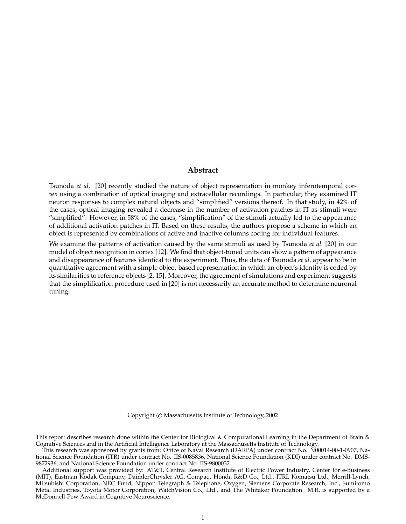## **Abstract**

Tsunoda *et al.* [20] recently studied the nature of object representation in monkey inferotemporal cortex using a combination of optical imaging and extracellular recordings. In particular, they examined IT neuron responses to complex natural objects and "simplified" versions thereof. In that study, in 42% of the cases, optical imaging revealed a decrease in the number of activation patches in IT as stimuli were "simplified". However, in 58% of the cases, "simplification" of the stimuli actually led to the appearance of additional activation patches in IT. Based on these results, the authors propose a scheme in which an object is represented by combinations of active and inactive columns coding for individual features.

We examine the patterns of activation caused by the same stimuli as used by Tsunoda *et al.* [20] in our model of object recognition in cortex [12]. We find that object-tuned units can show a pattern of appearance and disappearance of features identical to the experiment. Thus, the data of Tsunoda *et al.* appear to be in quantitative agreement with a simple object-based representation in which an object's identity is coded by its similarities to reference objects [2, 15]. Moreover, the agreement of simulations and experiment suggests that the simplification procedure used in [20] is not necessarily an accurate method to determine neuronal tuning.

Copyright  $\odot$  Massachusetts Institute of Technology, 2002

This report describes research done within the Center for Biological & Computational Learning in the Department of Brain & Cognitive Sciences and in the Artificial Intelligence Laboratory at the Massachusetts Institute of Technology.

This research was sponsored by grants from: Office of Naval Research (DARPA) under contract No. N00014-00-1-0907, National Science Foundation (ITR) under contract No. IIS-0085836, National Science Foundation (KDI) under contract No. DMS-9872936, and National Science Foundation under contract No. IIS-9800032.

Additional support was provided by: AT&T, Central Research Institute of Electric Power Industry, Center for e-Business (MIT), Eastman Kodak Company, DaimlerChrysler AG, Compaq, Honda R&D Co., Ltd., ITRI, Komatsu Ltd., Merrill-Lynch, Mitsubishi Corporation, NEC Fund, Nippon Telegraph & Telephone, Oxygen, Siemens Corporate Research, Inc., Sumitomo Metal Industries, Toyota Motor Corporation, WatchVision Co., Ltd., and The Whitaker Foundation. M.R. is supported by a McDonnell-Pew Award in Cognitive Neuroscience.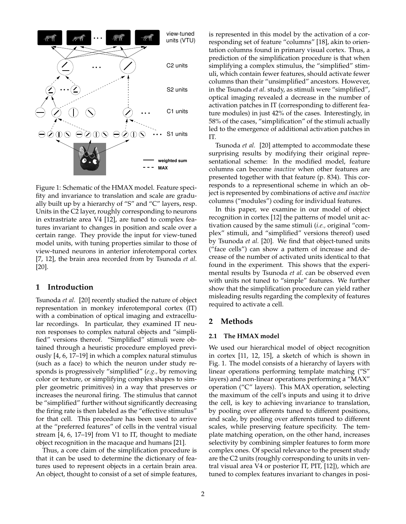

Figure 1: Schematic of the HMAX model. Feature specifity and invariance to translation and scale are gradually built up by a hierarchy of "S" and "C" layers, resp. Units in the C2 layer, roughly corresponding to neurons in extrastriate area V4 [12], are tuned to complex features invariant to changes in position and scale over a certain range. They provide the input for view-tuned model units, with tuning properties similar to those of view-tuned neurons in anterior inferotemporal cortex [7, 12], the brain area recorded from by Tsunoda *et al.* [20].

# **1 Introduction**

Tsunoda *et al.* [20] recently studied the nature of object representation in monkey inferotemporal cortex (IT) with a combination of optical imaging and extracellular recordings. In particular, they examined IT neuron responses to complex natural objects and "simplified" versions thereof. "Simplified" stimuli were obtained through a heuristic procedure employed previously [4, 6, 17–19] in which a complex natural stimulus (such as a face) to which the neuron under study responds is progressively "simplified" (*e.g.,* by removing color or texture, or simplifying complex shapes to simpler geometric primitives) in a way that preserves or increases the neuronal firing. The stimulus that cannot be "simplified" further without significantly decreasing the firing rate is then labeled as the "effective stimulus" for that cell. This procedure has been used to arrive at the "preferred features" of cells in the ventral visual stream [4, 6, 17–19] from V1 to IT, thought to mediate object recognition in the macaque and humans [21].

Thus, a core claim of the simplification procedure is that it can be used to determine the dictionary of features used to represent objects in a certain brain area. An object, thought to consist of a set of simple features, is represented in this model by the activation of a corresponding set of feature "columns" [18], akin to orientation columns found in primary visual cortex. Thus, a prediction of the simplification procedure is that when simplifying a complex stimulus, the "simplified" stimuli, which contain fewer features, should activate fewer columns than their "unsimplified" ancestors. However, in the Tsunoda *et al.* study, as stimuli were "simplified", optical imaging revealed a decrease in the number of activation patches in IT (corresponding to different feature modules) in just 42% of the cases. Interestingly, in 58% of the cases, "simplification" of the stimuli actually led to the emergence of additional activation patches in IT.

Tsunoda *et al.* [20] attempted to accommodate these surprising results by modifying their original representational scheme: In the modified model, feature columns can become *inactive* when other features are presented together with that feature (p. 834). This corresponds to a representional scheme in which an object is represented by combinations of active *and inactive* columns ("modules") coding for individual features.

In this paper, we examine in our model of object recognition in cortex [12] the patterns of model unit activation caused by the same stimuli (*i.e.,* original "complex" stimuli, and "simplified" versions thereof) used by Tsunoda *et al.* [20]. We find that object-tuned units ("face cells") can show a pattern of increase and decrease of the number of activated units identical to that found in the experiment. This shows that the experimental results by Tsunoda *et al.* can be observed even with units not tuned to "simple" features. We further show that the simplification procedure can yield rather misleading results regarding the complexity of features required to activate a cell.

# **2 Methods**

#### **2.1 The HMAX model**

We used our hierarchical model of object recognition in cortex [11, 12, 15], a sketch of which is shown in Fig. 1. The model consists of a hierarchy of layers with linear operations performing template matching ("S" layers) and non-linear operations performing a "MAX" operation ("C" layers). This MAX operation, selecting the maximum of the cell's inputs and using it to drive the cell, is key to achieving invariance to translation, by pooling over afferents tuned to different positions, and scale, by pooling over afferents tuned to different scales, while preserving feature specificity. The template matching operation, on the other hand, increases selectivity by combining simpler features to form more complex ones. Of special relevance to the present study are the C2 units (roughly corresponding to units in ventral visual area V4 or posterior IT, PIT, [12]), which are tuned to complex features invariant to changes in posi-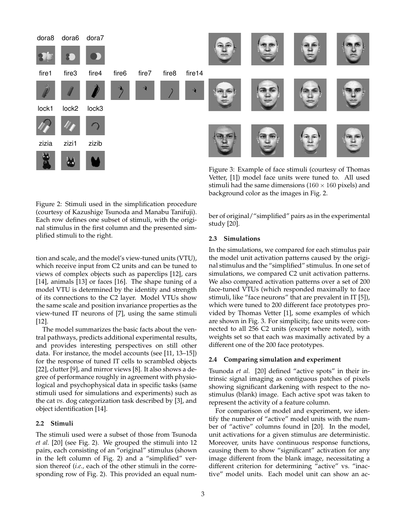

Figure 3: Example of face stimuli (courtesy of Thomas Vetter, [1]) model face units were tuned to. All used stimuli had the same dimensions ( $160 \times 160$  pixels) and background color as the images in Fig. 2.

Figure 2: Stimuli used in the simplification procedure (courtesy of Kazushige Tsunoda and Manabu Tanifuji). Each row defines one subset of stimuli, with the original stimulus in the first column and the presented simplified stimuli to the right.

tion and scale, and the model's view-tuned units (VTU), which receive input from C2 units and can be tuned to views of complex objects such as paperclips [12], cars [14], animals [13] or faces [16]. The shape tuning of a model VTU is determined by the identity and strength of its connections to the C2 layer. Model VTUs show the same scale and position invariance properties as the view-tuned IT neurons of [7], using the same stimuli [12].

The model summarizes the basic facts about the ventral pathways, predicts additional experimental results, and provides interesting perspectives on still other data. For instance, the model accounts (see [11, 13–15]) for the response of tuned IT cells to scrambled objects [22], clutter [9], and mirror views [8]. It also shows a degree of performance roughly in agreement with physiological and psychophysical data in specific tasks (same stimuli used for simulations and experiments) such as the cat *vs.* dog categorization task described by [3], and object identification [14].

## **2.2 Stimuli**

The stimuli used were a subset of those from Tsunoda *et al.* [20] (see Fig. 2). We grouped the stimuli into 12 pairs, each consisting of an "original" stimulus (shown in the left column of Fig. 2) and a "simplified" version thereof (*i.e.,* each of the other stimuli in the corresponding row of Fig. 2). This provided an equal number of original/"simplified" pairs as in the experimental study [20].

## **2.3 Simulations**

In the simulations, we compared for each stimulus pair the model unit activation patterns caused by the original stimulus and the "simplified" stimulus. In one set of simulations, we compared C2 unit activation patterns. We also compared activation patterns over a set of 200 face-tuned VTUs (which responded maximally to face stimuli, like "face neurons" that are prevalent in IT [5]), which were tuned to 200 different face prototypes provided by Thomas Vetter [1], some examples of which are shown in Fig. 3. For simplicity, face units were connected to all 256 C2 units (except where noted), with weights set so that each was maximally activated by a different one of the 200 face prototypes.

## **2.4 Comparing simulation and experiment**

Tsunoda *et al.* [20] defined "active spots" in their intrinsic signal imaging as contiguous patches of pixels showing significant darkening with respect to the nostimulus (blank) image. Each active spot was taken to represent the activity of a feature column.

For comparison of model and experiment, we identify the number of "active" model units with the number of "active" columns found in [20]. In the model, unit activations for a given stimulus are deterministic. Moreover, units have continuous response functions, causing them to show "significant" activation for any image different from the blank image, necessitating a different criterion for determining "active" vs. "inactive" model units. Each model unit can show an ac-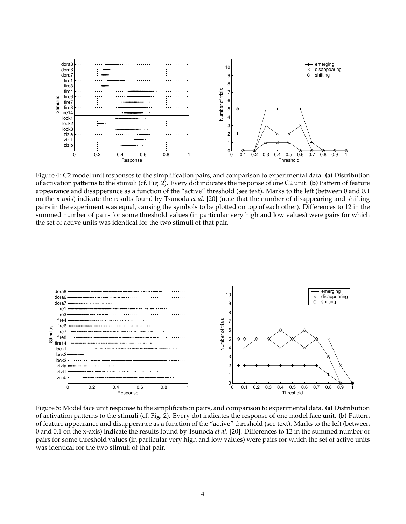

Figure 4: C2 model unit responses to the simplification pairs, and comparison to experimental data. **(a)** Distribution of activation patterns to the stimuli (cf. Fig. 2). Every dot indicates the response of one C2 unit. **(b)** Pattern of feature appearance and disapperance as a function of the "active" threshold (see text). Marks to the left (between 0 and 0.1 on the x-axis) indicate the results found by Tsunoda *et al.* [20] (note that the number of disappearing and shifting pairs in the experiment was equal, causing the symbols to be plotted on top of each other). Differences to 12 in the summed number of pairs for some threshold values (in particular very high and low values) were pairs for which the set of active units was identical for the two stimuli of that pair.



Figure 5: Model face unit response to the simplification pairs, and comparison to experimental data. **(a)** Distribution of activation patterns to the stimuli (cf. Fig. 2). Every dot indicates the response of one model face unit. **(b)** Pattern of feature appearance and disapperance as a function of the "active" threshold (see text). Marks to the left (between 0 and 0.1 on the x-axis) indicate the results found by Tsunoda *et al.* [20]. Differences to 12 in the summed number of pairs for some threshold values (in particular very high and low values) were pairs for which the set of active units was identical for the two stimuli of that pair.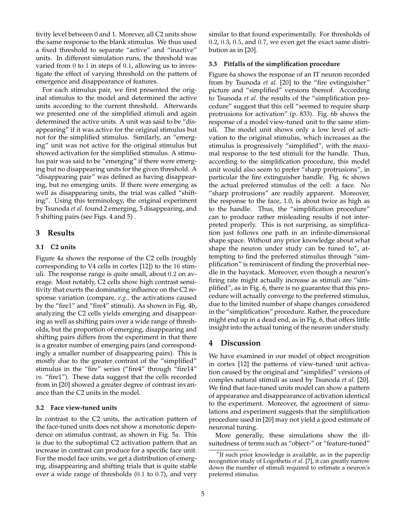tivity level between 0 and 1. Morever, all C2 units show the same response to the blank stimulus. We thus used a fixed threshold to separate "active" and "inactive" units. In different simulation runs, the threshold was varied from 0 to 1 in steps of 0.1, allowing us to investigate the effect of varying threshold on the pattern of emergence and disappearance of features.

For each stimulus pair, we first presented the original stimulus to the model and determined the active units according to the current threshold. Afterwards we presented one of the simplified stimuli and again determined the active units. A unit was said to be "disappearing" if it was active for the original stimulus but not for the simplified stimulus. Similarly, an "emerging" unit was not active for the original stimulus but showed activation for the simplified stimulus. A stimulus pair was said to be "emerging" if there were emerging but no disappearing units for the given threshold. A "disappearing pair" was defined as having disappearing, but no emerging units. If there were emerging as well as disappearing units, the trial was called "shifting". Using this terminology, the original experiment by Tsunoda *et al.* found 2 emerging, 5 disappearing, and 5 shifting pairs (see Figs. 4 and 5) .

# **3 Results**

## **3.1 C2 units**

Figure 4a shows the response of the C2 cells (roughly corresponding to V4 cells in cortex [12]) to the 16 stimuli. The response range is quite small, about 0.2 on average. Most notably, C2 cells show high contrast sensitivity that exerts the dominating influence on the C2 response variation (compare, *e.g.,* the activations caused by the "fire1" and "fire4" stimuli). As shown in Fig. 4b, analyzing the C2 cells yields emerging and disappearing as well as shifting pairs over a wide range of thresholds, but the proportion of emerging, disappearing and shifting pairs differs from the experiment in that there is a greater number of emerging pairs (and correspondingly a smaller number of disappearing pairs). This is mostly due to the greater contrast of the "simplified" stimulus in the "fire" series ("fire4" through "fire14" *vs.* "fire1"). These data suggest that the cells recorded from in [20] showed a greater degree of contrast invariance than the C2 units in the model.

## **3.2 Face view-tuned units**

In contrast to the C2 units, the activation pattern of the face-tuned units does not show a monotonic dependence on stimulus contrast, as shown in Fig. 5a. This is due to the suboptimal C2 activation pattern that an increase in contrast can produce for a specific face unit. For the model face units, we get a distribution of emerging, disappearing and shifting trials that is quite stable over a wide range of thresholds (0.1 to 0.7), and very similar to that found experimentally. For thresholds of 0.2, 0.3, 0.5, and 0.7, we even get the exact same distribution as in [20].

## **3.3 Pitfalls of the simplification procedure**

Figure 6a shows the response of an IT neuron recorded from by Tsunoda *et al.* [20] to the "fire extinguisher" picture and "simplified" versions thereof. According to Tsunoda *et al.* the results of the "simplification procedure" suggest that this cell "seemed to require sharp protrusions for activation" (p. 833). Fig. 6b shows the response of a model view-tuned unit to the same stimuli. The model unit shows only a low level of activation to the original stimulus, which increases as the stimulus is progressively "simplified", with the maximal response to the test stimuli for the handle. Thus, according to the simplification procedure, this model unit would also seem to prefer "sharp protrusions", in particular the fire extinguisher handle. Fig. 6c shows the actual preferred stimulus of the cell: a face. No "sharp protrusions" are readily apparent. Moreover, the response to the face, 1.0, is about twice as high as to the handle. Thus, the "simplification procedure" can to produce rather misleading results if not interpreted properly. This is not surprising, as simplification just follows one path in an infinite-dimensional shape space. Without any prior knowledge about what shape the neuron under study can be tuned to\*, attempting to find the preferred stimulus through "simplification" is reminiscent of finding the proverbial needle in the haystack. Moreover, even though a neuron's firing rate might actually increase as stimuli are "simplified", as in Fig. 6, there is no guarantee that this procedure will actually converge to the preferred stimulus, due to the limited number of shape changes considered in the "simplification" procedure. Rather, the procedure might end up in a dead end, as in Fig. 6, that offers little insight into the actual tuning of the neuron under study.

# **4 Discussion**

We have examined in our model of object recognition in cortex [12] the patterns of view-tuned unit activation caused by the original and "simplified" versions of complex natural stimuli as used by Tsunoda *et al.* [20]. We find that face-tuned units model can show a pattern of appearance and disappearance of activation identical to the experiment. Moreover, the agreement of simulations and experiment suggests that the simplification procedure used in [20] may not yield a good estimate of neuronal tuning.

More generally, these simulations show the illsuitedness of terms such as "object-" or "feature-tuned"

<sup>∗</sup> If such prior knowledge is available, as in the paperclip recognition study of Logothetis *et al.* [7], it can greatly narrow down the number of stimuli required to estimate a neuron's preferred stimulus.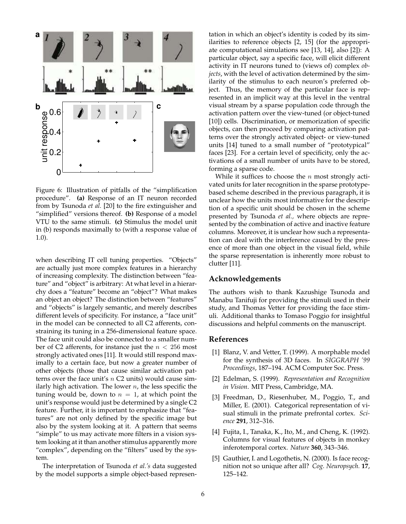

Figure 6: Illustration of pitfalls of the "simplification procedure". **(a)** Response of an IT neuron recorded from by Tsunoda *et al.* [20] to the fire extinguisher and "simplified" versions thereof. **(b)** Response of a model VTU to the same stimuli. **(c)** Stimulus the model unit in (b) responds maximally to (with a response value of 1.0).

when describing IT cell tuning properties. "Objects" are actually just more complex features in a hierarchy of increasing complexity. The distinction between "feature" and "object" is arbitrary: At what level in a hierarchy does a "feature" become an "object"? What makes an object an object? The distinction between "features" and "objects" is largely semantic, and merely describes different levels of specificity. For instance, a "face unit" in the model can be connected to all C2 afferents, constraining its tuning in a 256-dimensional feature space. The face unit could also be connected to a smaller number of C2 afferents, for instance just the  $n < 256$  most strongly activated ones [11]. It would still respond maximally to a certain face, but now a greater number of other objects (those that cause similar activation patterns over the face unit's  $n \text{ C2 units}$  would cause similarly high activation. The lower  $n$ , the less specific the tuning would be, down to  $n = 1$ , at which point the unit's response would just be determined by a single C2 feature. Further, it is important to emphasize that "features" are not only defined by the specific image but also by the system looking at it. A pattern that seems "simple" to us may activate more filters in a vision system looking at it than another stimulus apparently more "complex", depending on the "filters" used by the system.

The interpretation of Tsunoda *et al.'s* data suggested by the model supports a simple object-based representation in which an object's identity is coded by its similarities to reference objects [2, 15] (for the appropriate computational simulations see [13, 14], also [2]): A particular object, say a specific face, will elicit different activity in IT neurons tuned to (views of) complex *objects*, with the level of activation determined by the similarity of the stimulus to each neuron's preferred object. Thus, the memory of the particular face is represented in an implicit way at this level in the ventral visual stream by a sparse population code through the activation pattern over the view-tuned (or object-tuned [10]) cells. Discrimination, or memorization of specific objects, can then proceed by comparing activation patterns over the strongly activated object- or view-tuned units [14] tuned to a small number of "prototypical" faces [23]. For a certain level of specificity, only the activations of a small number of units have to be stored, forming a sparse code.

While it suffices to choose the  $n$  most strongly activated units for later recognition in the sparse prototypebased scheme described in the previous paragraph, it is unclear how the units most informative for the description of a specific unit should be chosen in the scheme presented by Tsunoda *et al.,* where objects are represented by the combination of active and inactive feature columns. Moreover, it is unclear how such a representation can deal with the interference caused by the presence of more than one object in the visual field, while the sparse representation is inherently more robust to clutter [11].

# **Acknowledgements**

The authors wish to thank Kazushige Tsunoda and Manabu Tanifuji for providing the stimuli used in their study, and Thomas Vetter for providing the face stimuli. Additional thanks to Tomaso Poggio for insightful discussions and helpful comments on the manuscript.

## **References**

- [1] Blanz, V. and Vetter, T. (1999). A morphable model for the synthesis of 3D faces. In *SIGGRAPH '99 Proceedings*, 187–194. ACM Computer Soc. Press.
- [2] Edelman, S. (1999). *Representation and Recognition in Vision*. MIT Press, Cambridge, MA.
- [3] Freedman, D., Riesenhuber, M., Poggio, T., and Miller, E. (2001). Categorical representation of visual stimuli in the primate prefrontal cortex. *Science* **291**, 312–316.
- [4] Fujita, I., Tanaka, K., Ito, M., and Cheng, K. (1992). Columns for visual features of objects in monkey inferotemporal cortex. *Nature* **360**, 343–346.
- [5] Gauthier, I. and Logothetis, N. (2000). Is face recognition not so unique after all? *Cog. Neuropsych.* **17**, 125–142.